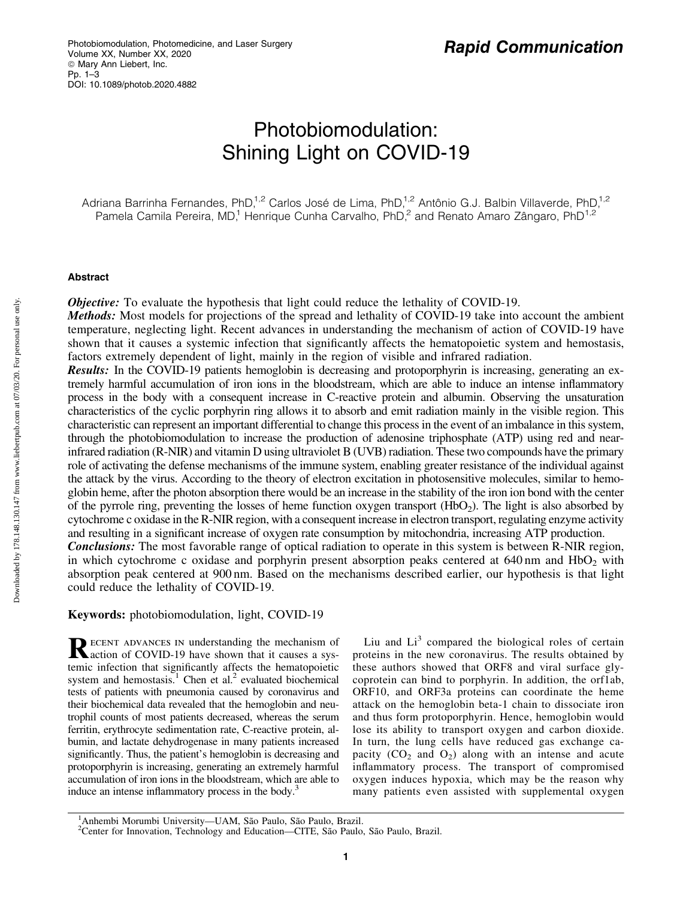# Photobiomodulation: Shining Light on COVID-19

Adriana Barrinha Fernandes, PhD,<sup>1,2</sup> Carlos José de Lima, PhD,<sup>1,2</sup> Antônio G.J. Balbin Villaverde, PhD,<sup>1,2</sup> Pamela Camila Pereira, MD,<sup>1</sup> Henrique Cunha Carvalho, PhD,<sup>2</sup> and Renato Amaro Zângaro, PhD<sup>1,2</sup>

#### Abstract

*Objective:* To evaluate the hypothesis that light could reduce the lethality of COVID-19.

Methods: Most models for projections of the spread and lethality of COVID-19 take into account the ambient temperature, neglecting light. Recent advances in understanding the mechanism of action of COVID-19 have shown that it causes a systemic infection that significantly affects the hematopoietic system and hemostasis, factors extremely dependent of light, mainly in the region of visible and infrared radiation.

Results: In the COVID-19 patients hemoglobin is decreasing and protoporphyrin is increasing, generating an extremely harmful accumulation of iron ions in the bloodstream, which are able to induce an intense inflammatory process in the body with a consequent increase in C-reactive protein and albumin. Observing the unsaturation characteristics of the cyclic porphyrin ring allows it to absorb and emit radiation mainly in the visible region. This characteristic can represent an important differential to change this process in the event of an imbalance in this system, through the photobiomodulation to increase the production of adenosine triphosphate (ATP) using red and nearinfrared radiation (R-NIR) and vitamin D using ultraviolet B (UVB) radiation. These two compounds have the primary role of activating the defense mechanisms of the immune system, enabling greater resistance of the individual against the attack by the virus. According to the theory of electron excitation in photosensitive molecules, similar to hemoglobin heme, after the photon absorption there would be an increase in the stability of the iron ion bond with the center of the pyrrole ring, preventing the losses of heme function oxygen transport  $(HbO<sub>2</sub>)$ . The light is also absorbed by cytochrome c oxidase in the R-NIR region, with a consequent increase in electron transport, regulating enzyme activity and resulting in a significant increase of oxygen rate consumption by mitochondria, increasing ATP production. **Conclusions:** The most favorable range of optical radiation to operate in this system is between R-NIR region, in which cytochrome c oxidase and porphyrin present absorption peaks centered at  $640 \text{ nm}$  and  $HbO<sub>2</sub>$  with absorption peak centered at 900 nm. Based on the mechanisms described earlier, our hypothesis is that light could reduce the lethality of COVID-19.

Keywords: photobiomodulation, light, COVID-19

RECENT ADVANCES IN understanding the mechanism of COVID-19 have shown that it causes a systemic infection that significantly affects the hematopoietic system and hemostasis.<sup>1</sup> Chen et al.<sup>2</sup> evaluated biochemical tests of patients with pneumonia caused by coronavirus and their biochemical data revealed that the hemoglobin and neutrophil counts of most patients decreased, whereas the serum ferritin, erythrocyte sedimentation rate, C-reactive protein, albumin, and lactate dehydrogenase in many patients increased significantly. Thus, the patient's hemoglobin is decreasing and protoporphyrin is increasing, generating an extremely harmful accumulation of iron ions in the bloodstream, which are able to induce an intense inflammatory process in the body.<sup>3</sup>

Liu and  $Li<sup>3</sup>$  compared the biological roles of certain proteins in the new coronavirus. The results obtained by these authors showed that ORF8 and viral surface glycoprotein can bind to porphyrin. In addition, the orf1ab, ORF10, and ORF3a proteins can coordinate the heme attack on the hemoglobin beta-1 chain to dissociate iron and thus form protoporphyrin. Hence, hemoglobin would lose its ability to transport oxygen and carbon dioxide. In turn, the lung cells have reduced gas exchange capacity  $(CO_2$  and  $O_2$ ) along with an intense and acute inflammatory process. The transport of compromised oxygen induces hypoxia, which may be the reason why many patients even assisted with supplemental oxygen

Downloaded by 178.148.130.147 from www.liebertpub.com at 07/03/20. For personal use only. Downloaded by 178.148.130.147 from www.liebertpub.com at 07/03/20. For personal use only

<sup>&</sup>lt;sup>1</sup> Anhembi Morumbi University—UAM, São Paulo, São Paulo, Brazil.<br><sup>2</sup> Center for Innovation, Technology and Education—CITE, São Paulo, São Paulo, Brazil.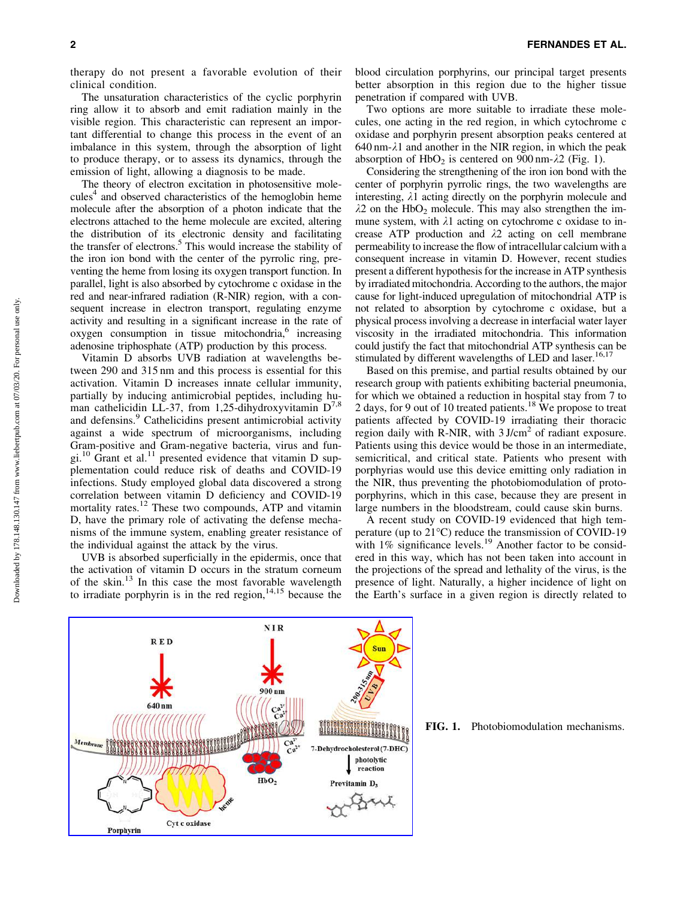therapy do not present a favorable evolution of their clinical condition.

The unsaturation characteristics of the cyclic porphyrin ring allow it to absorb and emit radiation mainly in the visible region. This characteristic can represent an important differential to change this process in the event of an imbalance in this system, through the absorption of light to produce therapy, or to assess its dynamics, through the emission of light, allowing a diagnosis to be made.

The theory of electron excitation in photosensitive molecules<sup>4</sup> and observed characteristics of the hemoglobin heme molecule after the absorption of a photon indicate that the electrons attached to the heme molecule are excited, altering the distribution of its electronic density and facilitating the transfer of electrons.<sup>5</sup> This would increase the stability of the iron ion bond with the center of the pyrrolic ring, preventing the heme from losing its oxygen transport function. In parallel, light is also absorbed by cytochrome c oxidase in the red and near-infrared radiation (R-NIR) region, with a consequent increase in electron transport, regulating enzyme activity and resulting in a significant increase in the rate of  $oxygen$  consumption in tissue mitochondria, $o$  increasing adenosine triphosphate (ATP) production by this process.

Vitamin D absorbs UVB radiation at wavelengths between 290 and 315 nm and this process is essential for this activation. Vitamin D increases innate cellular immunity, partially by inducing antimicrobial peptides, including human cathelicidin LL-37, from 1,25-dihydroxyvitamin  $D^{7,8}$ and defensins.<sup>9</sup> Cathelicidins present antimicrobial activity against a wide spectrum of microorganisms, including Gram-positive and Gram-negative bacteria, virus and fungi.<sup>10</sup> Grant et al.<sup>11</sup> presented evidence that vitamin D supplementation could reduce risk of deaths and COVID-19 infections. Study employed global data discovered a strong correlation between vitamin D deficiency and COVID-19 mortality rates.<sup>12</sup> These two compounds, ATP and vitamin D, have the primary role of activating the defense mechanisms of the immune system, enabling greater resistance of the individual against the attack by the virus.

UVB is absorbed superficially in the epidermis, once that the activation of vitamin D occurs in the stratum corneum of the skin.<sup>13</sup> In this case the most favorable wavelength to irradiate porphyrin is in the red region,  $14,15$  because the

blood circulation porphyrins, our principal target presents better absorption in this region due to the higher tissue penetration if compared with UVB.

Two options are more suitable to irradiate these molecules, one acting in the red region, in which cytochrome c oxidase and porphyrin present absorption peaks centered at  $640 \text{ nm}$ - $\lambda$ 1 and another in the NIR region, in which the peak absorption of  $HbO<sub>2</sub>$  is centered on 900 nm- $\lambda$ 2 (Fig. 1).

Considering the strengthening of the iron ion bond with the center of porphyrin pyrrolic rings, the two wavelengths are interesting,  $\lambda$ 1 acting directly on the porphyrin molecule and  $\lambda$ 2 on the HbO<sub>2</sub> molecule. This may also strengthen the immune system, with  $\lambda$ 1 acting on cytochrome c oxidase to increase ATP production and  $\lambda$ 2 acting on cell membrane permeability to increase the flow of intracellular calcium with a consequent increase in vitamin D. However, recent studies present a different hypothesis for the increase in ATP synthesis by irradiated mitochondria. According to the authors, the major cause for light-induced upregulation of mitochondrial ATP is not related to absorption by cytochrome c oxidase, but a physical process involving a decrease in interfacial water layer viscosity in the irradiated mitochondria. This information could justify the fact that mitochondrial ATP synthesis can be stimulated by different wavelengths of LED and laser.<sup>16,17</sup>

Based on this premise, and partial results obtained by our research group with patients exhibiting bacterial pneumonia, for which we obtained a reduction in hospital stay from 7 to 2 days, for 9 out of 10 treated patients.<sup>18</sup> We propose to treat patients affected by COVID-19 irradiating their thoracic region daily with R-NIR, with  $3$  J/cm<sup>2</sup> of radiant exposure. Patients using this device would be those in an intermediate, semicritical, and critical state. Patients who present with porphyrias would use this device emitting only radiation in the NIR, thus preventing the photobiomodulation of protoporphyrins, which in this case, because they are present in large numbers in the bloodstream, could cause skin burns.

A recent study on COVID-19 evidenced that high temperature (up to 21°C) reduce the transmission of COVID-19 with  $1\%$  significance levels.<sup>19</sup> Another factor to be considered in this way, which has not been taken into account in the projections of the spread and lethality of the virus, is the presence of light. Naturally, a higher incidence of light on the Earth's surface in a given region is directly related to



FIG. 1. Photobiomodulation mechanisms.